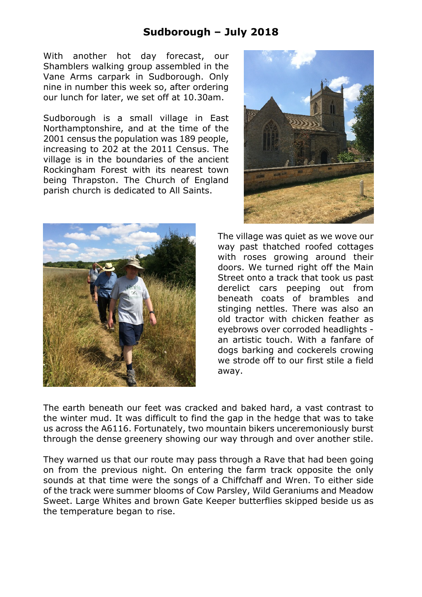## **Sudborough – July 2018**

With another hot day forecast, our Shamblers walking group assembled in the Vane Arms carpark in Sudborough. Only nine in number this week so, after ordering our lunch for later, we set off at 10.30am.

Sudborough is a small village in East Northamptonshire, and at the time of the 2001 census the population was 189 people, increasing to 202 at the 2011 Census. The village is in the boundaries of the ancient Rockingham Forest with its nearest town being Thrapston. The Church of England parish church is dedicated to All Saints.





The village was quiet as we wove our way past thatched roofed cottages with roses growing around their doors. We turned right off the Main Street onto a track that took us past derelict cars peeping out from beneath coats of brambles and stinging nettles. There was also an old tractor with chicken feather as eyebrows over corroded headlights an artistic touch. With a fanfare of dogs barking and cockerels crowing we strode off to our first stile a field away.

The earth beneath our feet was cracked and baked hard, a vast contrast to the winter mud. It was difficult to find the gap in the hedge that was to take us across the A6116. Fortunately, two mountain bikers unceremoniously burst through the dense greenery showing our way through and over another stile.

They warned us that our route may pass through a Rave that had been going on from the previous night. On entering the farm track opposite the only sounds at that time were the songs of a Chiffchaff and Wren. To either side of the track were summer blooms of Cow Parsley, Wild Geraniums and Meadow Sweet. Large Whites and brown Gate Keeper butterflies skipped beside us as the temperature began to rise.